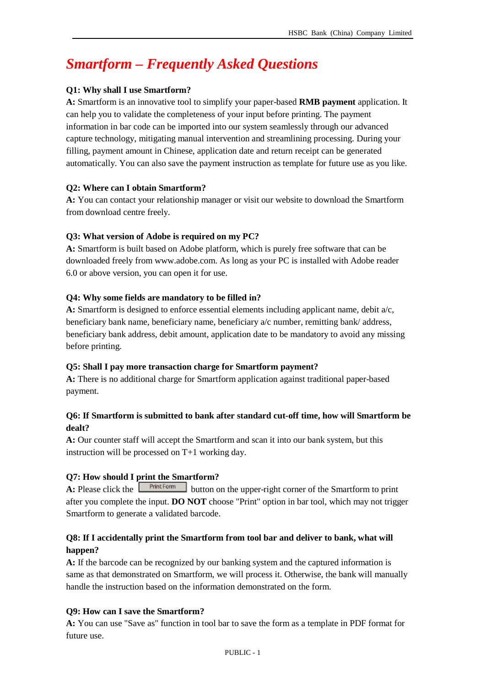# *Smartform – Frequently Asked Questions*

## **Q1: Why shall I use Smartform?**

**A:** Smartform is an innovative tool to simplify your paper-based **RMB payment** application. It can help you to validate the completeness of your input before printing. The payment information in bar code can be imported into our system seamlessly through our advanced capture technology, mitigating manual intervention and streamlining processing. During your filling, payment amount in Chinese, application date and return receipt can be generated automatically. You can also save the payment instruction as template for future use as you like.

# **Q2: Where can I obtain Smartform?**

**A:** You can contact your relationship manager or visit our website to download the Smartform from download centre freely.

# **Q3: What version of Adobe is required on my PC?**

**A:** Smartform is built based on Adobe platform, which is purely free software that can be downloaded freely from [www.adobe.com.](http://www.adobe.com/) As long as your PC is installed with Adobe reader 6.0 or above version, you can open it for use.

# **Q4: Why some fields are mandatory to be filled in?**

**A:** Smartform is designed to enforce essential elements including applicant name, debit a/c, beneficiary bank name, beneficiary name, beneficiary a/c number, remitting bank/ address, beneficiary bank address, debit amount, application date to be mandatory to avoid any missing before printing.

## **Q5: Shall I pay more transaction charge for Smartform payment?**

**A:** There is no additional charge for Smartform application against traditional paper-based payment.

# **Q6: If Smartform is submitted to bank after standard cut-off time, how will Smartform be dealt?**

**A:** Our counter staff will accept the Smartform and scan it into our bank system, but this instruction will be processed on T+1 working day.

# **Q7: How should I print the Smartform?**

**A:** Please click the **buttom** button on the upper-right corner of the Smartform to print after you complete the input. **DO NOT** choose "Print" option in bar tool, which may not trigger Smartform to generate a validated barcode.

# **Q8: If I accidentally print the Smartform from tool bar and deliver to bank, what will happen?**

**A:** If the barcode can be recognized by our banking system and the captured information is same as that demonstrated on Smartform, we will process it. Otherwise, the bank will manually handle the instruction based on the information demonstrated on the form.

## **Q9: How can I save the Smartform?**

**A:** You can use "Save as" function in tool bar to save the form as a template in PDF format for future use.